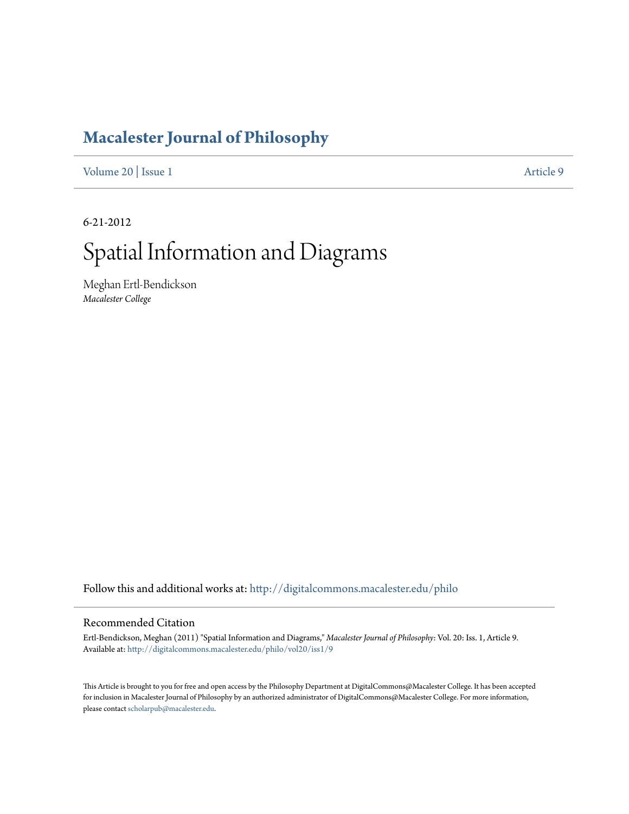# **[Macalester Journal of Philosophy](http://digitalcommons.macalester.edu/philo?utm_source=digitalcommons.macalester.edu%2Fphilo%2Fvol20%2Fiss1%2F9&utm_medium=PDF&utm_campaign=PDFCoverPages)**

[Volume 20](http://digitalcommons.macalester.edu/philo/vol20?utm_source=digitalcommons.macalester.edu%2Fphilo%2Fvol20%2Fiss1%2F9&utm_medium=PDF&utm_campaign=PDFCoverPages) | [Issue 1](http://digitalcommons.macalester.edu/philo/vol20/iss1?utm_source=digitalcommons.macalester.edu%2Fphilo%2Fvol20%2Fiss1%2F9&utm_medium=PDF&utm_campaign=PDFCoverPages) [Article 9](http://digitalcommons.macalester.edu/philo/vol20/iss1/9?utm_source=digitalcommons.macalester.edu%2Fphilo%2Fvol20%2Fiss1%2F9&utm_medium=PDF&utm_campaign=PDFCoverPages)

6-21-2012

# Spatial Information and Diagrams

Meghan Ertl-Bendickson *Macalester College*

Follow this and additional works at: [http://digitalcommons.macalester.edu/philo](http://digitalcommons.macalester.edu/philo?utm_source=digitalcommons.macalester.edu%2Fphilo%2Fvol20%2Fiss1%2F9&utm_medium=PDF&utm_campaign=PDFCoverPages)

#### Recommended Citation

Ertl-Bendickson, Meghan (2011) "Spatial Information and Diagrams," *Macalester Journal of Philosophy*: Vol. 20: Iss. 1, Article 9. Available at: [http://digitalcommons.macalester.edu/philo/vol20/iss1/9](http://digitalcommons.macalester.edu/philo/vol20/iss1/9?utm_source=digitalcommons.macalester.edu%2Fphilo%2Fvol20%2Fiss1%2F9&utm_medium=PDF&utm_campaign=PDFCoverPages)

This Article is brought to you for free and open access by the Philosophy Department at DigitalCommons@Macalester College. It has been accepted for inclusion in Macalester Journal of Philosophy by an authorized administrator of DigitalCommons@Macalester College. For more information, please contact [scholarpub@macalester.edu.](mailto:scholarpub@macalester.edu)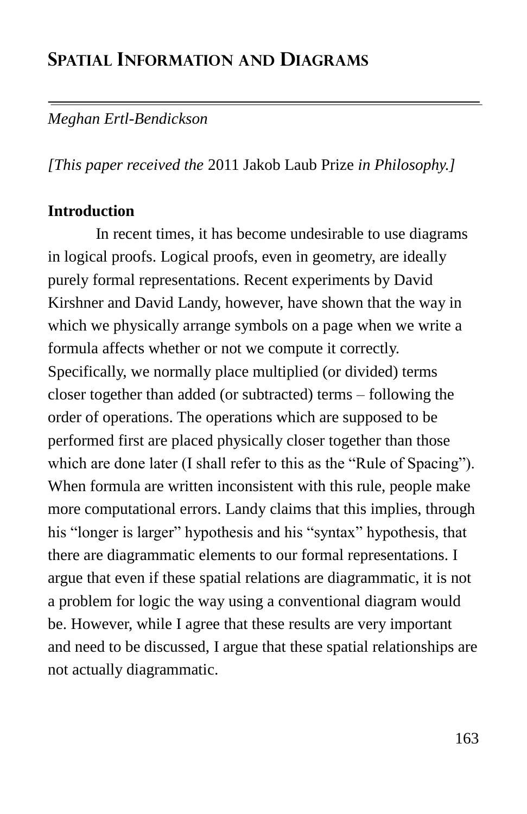# **SPATIAL INFORMATION AND DIAGRAMS**

### *Meghan Ertl-Bendickson*

*[This paper received the* 2011 Jakob Laub Prize *in Philosophy.]*

#### **Introduction**

In recent times, it has become undesirable to use diagrams in logical proofs. Logical proofs, even in geometry, are ideally purely formal representations. Recent experiments by David Kirshner and David Landy, however, have shown that the way in which we physically arrange symbols on a page when we write a formula affects whether or not we compute it correctly. Specifically, we normally place multiplied (or divided) terms closer together than added (or subtracted) terms – following the order of operations. The operations which are supposed to be performed first are placed physically closer together than those which are done later (I shall refer to this as the "Rule of Spacing"). When formula are written inconsistent with this rule, people make more computational errors. Landy claims that this implies, through his "longer is larger" hypothesis and his "syntax" hypothesis, that there are diagrammatic elements to our formal representations. I argue that even if these spatial relations are diagrammatic, it is not a problem for logic the way using a conventional diagram would be. However, while I agree that these results are very important and need to be discussed, I argue that these spatial relationships are not actually diagrammatic.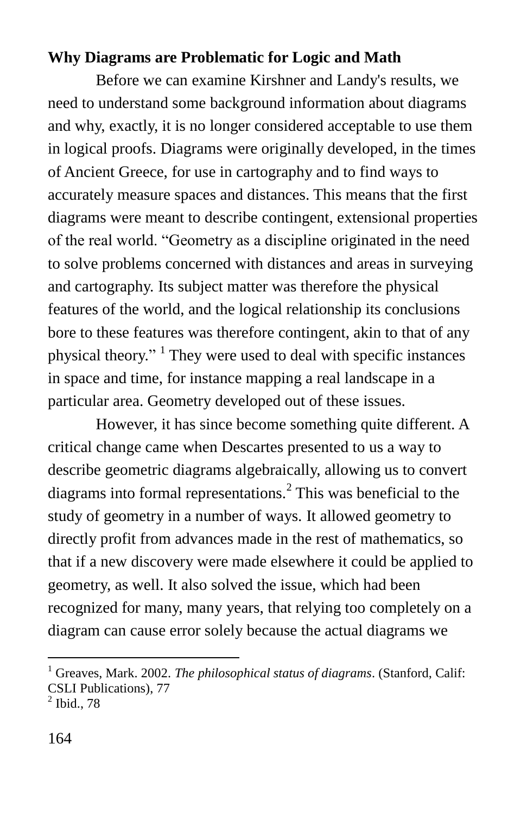#### **Why Diagrams are Problematic for Logic and Math**

Before we can examine Kirshner and Landy's results, we need to understand some background information about diagrams and why, exactly, it is no longer considered acceptable to use them in logical proofs. Diagrams were originally developed, in the times of Ancient Greece, for use in cartography and to find ways to accurately measure spaces and distances. This means that the first diagrams were meant to describe contingent, extensional properties of the real world. "Geometry as a discipline originated in the need to solve problems concerned with distances and areas in surveying and cartography. Its subject matter was therefore the physical features of the world, and the logical relationship its conclusions bore to these features was therefore contingent, akin to that of any physical theory." <sup>1</sup> They were used to deal with specific instances in space and time, for instance mapping a real landscape in a particular area. Geometry developed out of these issues.

However, it has since become something quite different. A critical change came when Descartes presented to us a way to describe geometric diagrams algebraically, allowing us to convert diagrams into formal representations.<sup>2</sup> This was beneficial to the study of geometry in a number of ways. It allowed geometry to directly profit from advances made in the rest of mathematics, so that if a new discovery were made elsewhere it could be applied to geometry, as well. It also solved the issue, which had been recognized for many, many years, that relying too completely on a diagram can cause error solely because the actual diagrams we

<sup>&</sup>lt;sup>1</sup> Greaves, Mark. 2002. *The philosophical status of diagrams*. (Stanford, Calif: CSLI Publications), 77

 $<sup>2</sup>$  Ibid., 78</sup>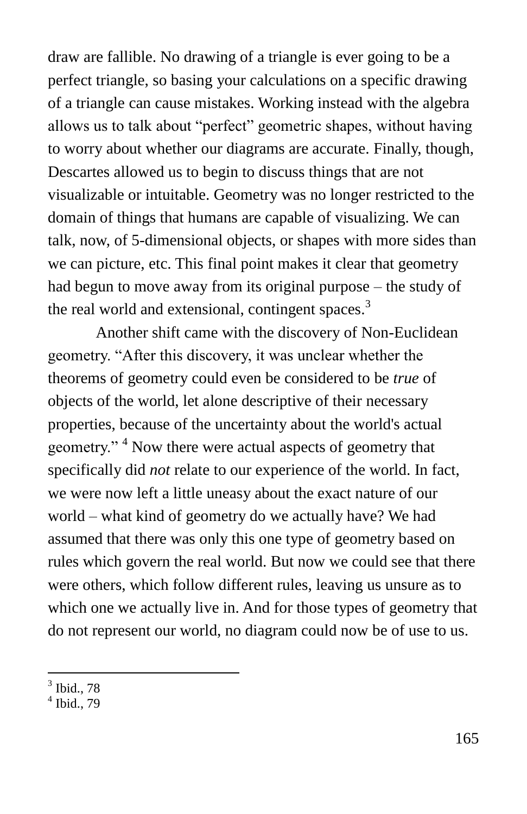draw are fallible. No drawing of a triangle is ever going to be a perfect triangle, so basing your calculations on a specific drawing of a triangle can cause mistakes. Working instead with the algebra allows us to talk about "perfect" geometric shapes, without having to worry about whether our diagrams are accurate. Finally, though, Descartes allowed us to begin to discuss things that are not visualizable or intuitable. Geometry was no longer restricted to the domain of things that humans are capable of visualizing. We can talk, now, of 5-dimensional objects, or shapes with more sides than we can picture, etc. This final point makes it clear that geometry had begun to move away from its original purpose – the study of the real world and extensional, contingent spaces.<sup>3</sup>

Another shift came with the discovery of Non-Euclidean geometry. "After this discovery, it was unclear whether the theorems of geometry could even be considered to be *true* of objects of the world, let alone descriptive of their necessary properties, because of the uncertainty about the world's actual geometry."<sup>4</sup> Now there were actual aspects of geometry that specifically did *not* relate to our experience of the world. In fact, we were now left a little uneasy about the exact nature of our world – what kind of geometry do we actually have? We had assumed that there was only this one type of geometry based on rules which govern the real world. But now we could see that there were others, which follow different rules, leaving us unsure as to which one we actually live in. And for those types of geometry that do not represent our world, no diagram could now be of use to us.

 $3$  Ibid., 78

<sup>4</sup> Ibid., 79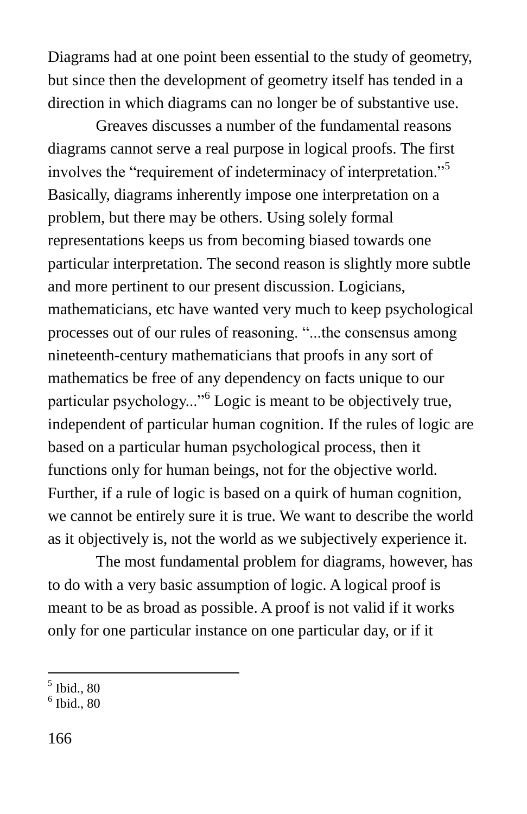Diagrams had at one point been essential to the study of geometry, but since then the development of geometry itself has tended in a direction in which diagrams can no longer be of substantive use.

Greaves discusses a number of the fundamental reasons diagrams cannot serve a real purpose in logical proofs. The first involves the "requirement of indeterminacy of interpretation."<sup>5</sup> Basically, diagrams inherently impose one interpretation on a problem, but there may be others. Using solely formal representations keeps us from becoming biased towards one particular interpretation. The second reason is slightly more subtle and more pertinent to our present discussion. Logicians, mathematicians, etc have wanted very much to keep psychological processes out of our rules of reasoning. "...the consensus among nineteenth-century mathematicians that proofs in any sort of mathematics be free of any dependency on facts unique to our particular psychology..."<sup>6</sup> Logic is meant to be objectively true, independent of particular human cognition. If the rules of logic are based on a particular human psychological process, then it functions only for human beings, not for the objective world. Further, if a rule of logic is based on a quirk of human cognition, we cannot be entirely sure it is true. We want to describe the world as it objectively is, not the world as we subjectively experience it.

The most fundamental problem for diagrams, however, has to do with a very basic assumption of logic. A logical proof is meant to be as broad as possible. A proof is not valid if it works only for one particular instance on one particular day, or if it

 5 Ibid., 80

<sup>6</sup> Ibid., 80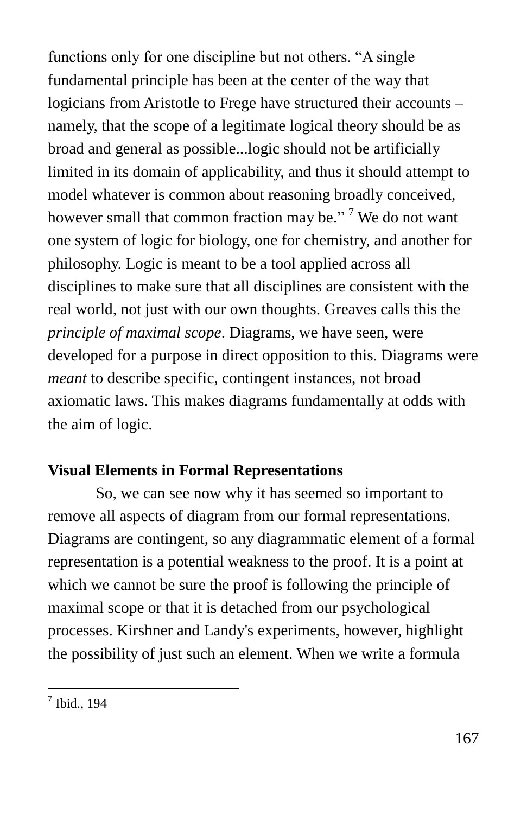functions only for one discipline but not others. "A single fundamental principle has been at the center of the way that logicians from Aristotle to Frege have structured their accounts – namely, that the scope of a legitimate logical theory should be as broad and general as possible...logic should not be artificially limited in its domain of applicability, and thus it should attempt to model whatever is common about reasoning broadly conceived, however small that common fraction may be."<sup>7</sup> We do not want one system of logic for biology, one for chemistry, and another for philosophy. Logic is meant to be a tool applied across all disciplines to make sure that all disciplines are consistent with the real world, not just with our own thoughts. Greaves calls this the *principle of maximal scope*. Diagrams, we have seen, were developed for a purpose in direct opposition to this. Diagrams were *meant* to describe specific, contingent instances, not broad axiomatic laws. This makes diagrams fundamentally at odds with the aim of logic.

## **Visual Elements in Formal Representations**

So, we can see now why it has seemed so important to remove all aspects of diagram from our formal representations. Diagrams are contingent, so any diagrammatic element of a formal representation is a potential weakness to the proof. It is a point at which we cannot be sure the proof is following the principle of maximal scope or that it is detached from our psychological processes. Kirshner and Landy's experiments, however, highlight the possibility of just such an element. When we write a formula

 7 Ibid., 194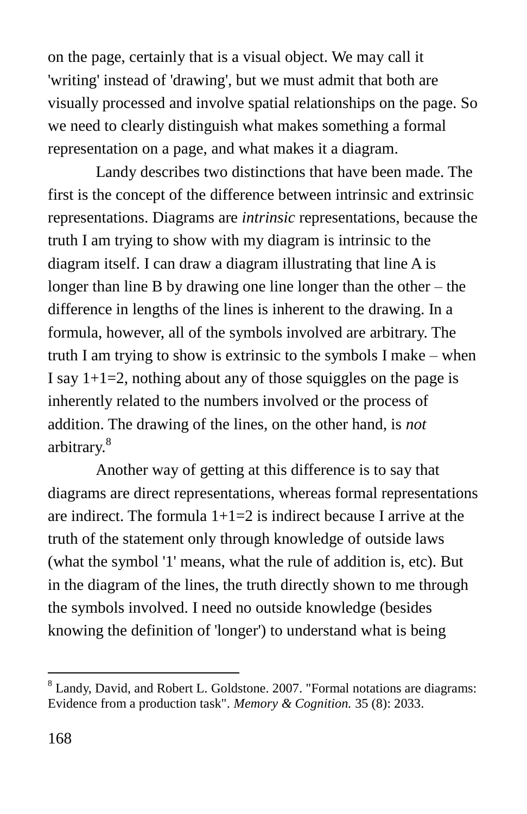on the page, certainly that is a visual object. We may call it 'writing' instead of 'drawing', but we must admit that both are visually processed and involve spatial relationships on the page. So we need to clearly distinguish what makes something a formal representation on a page, and what makes it a diagram.

Landy describes two distinctions that have been made. The first is the concept of the difference between intrinsic and extrinsic representations. Diagrams are *intrinsic* representations, because the truth I am trying to show with my diagram is intrinsic to the diagram itself. I can draw a diagram illustrating that line A is longer than line B by drawing one line longer than the other – the difference in lengths of the lines is inherent to the drawing. In a formula, however, all of the symbols involved are arbitrary. The truth I am trying to show is extrinsic to the symbols I make – when I say  $1+1=2$ , nothing about any of those squiggles on the page is inherently related to the numbers involved or the process of addition. The drawing of the lines, on the other hand, is *not* arbitrary.<sup>8</sup>

Another way of getting at this difference is to say that diagrams are direct representations, whereas formal representations are indirect. The formula  $1+1=2$  is indirect because I arrive at the truth of the statement only through knowledge of outside laws (what the symbol '1' means, what the rule of addition is, etc). But in the diagram of the lines, the truth directly shown to me through the symbols involved. I need no outside knowledge (besides knowing the definition of 'longer') to understand what is being

<sup>8</sup> Landy, David, and Robert L. Goldstone. 2007. "Formal notations are diagrams: Evidence from a production task". *Memory & Cognition.* 35 (8): 2033.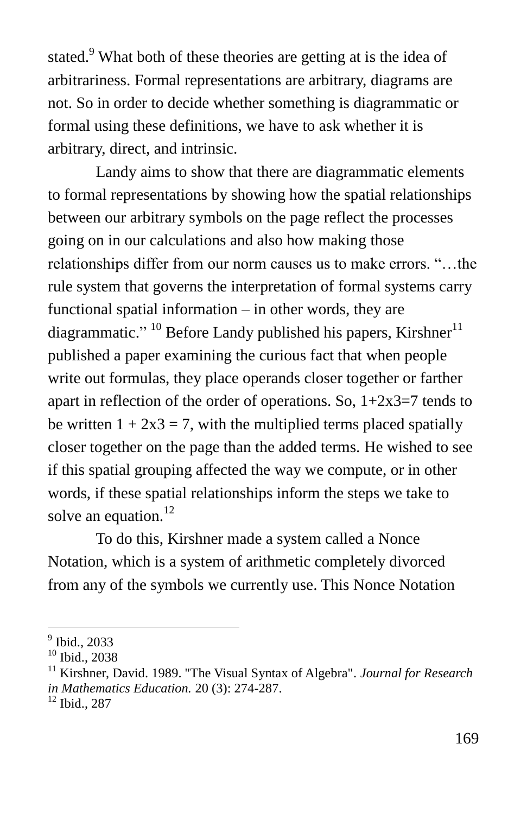stated.<sup>9</sup> What both of these theories are getting at is the idea of arbitrariness. Formal representations are arbitrary, diagrams are not. So in order to decide whether something is diagrammatic or formal using these definitions, we have to ask whether it is arbitrary, direct, and intrinsic.

Landy aims to show that there are diagrammatic elements to formal representations by showing how the spatial relationships between our arbitrary symbols on the page reflect the processes going on in our calculations and also how making those relationships differ from our norm causes us to make errors. "...the rule system that governs the interpretation of formal systems carry functional spatial information – in other words, they are diagrammatic." <sup>10</sup> Before Landy published his papers, Kirshner<sup>11</sup> published a paper examining the curious fact that when people write out formulas, they place operands closer together or farther apart in reflection of the order of operations. So,  $1+2x3=7$  tends to be written  $1 + 2x3 = 7$ , with the multiplied terms placed spatially closer together on the page than the added terms. He wished to see if this spatial grouping affected the way we compute, or in other words, if these spatial relationships inform the steps we take to solve an equation.<sup>12</sup>

To do this, Kirshner made a system called a Nonce Notation, which is a system of arithmetic completely divorced from any of the symbols we currently use. This Nonce Notation

<sup>9</sup> Ibid., 2033

<sup>10</sup> Ibid., 2038

<sup>11</sup> Kirshner, David. 1989. "The Visual Syntax of Algebra". *Journal for Research in Mathematics Education.* 20 (3): 274-287.

<sup>12</sup> Ibid., 287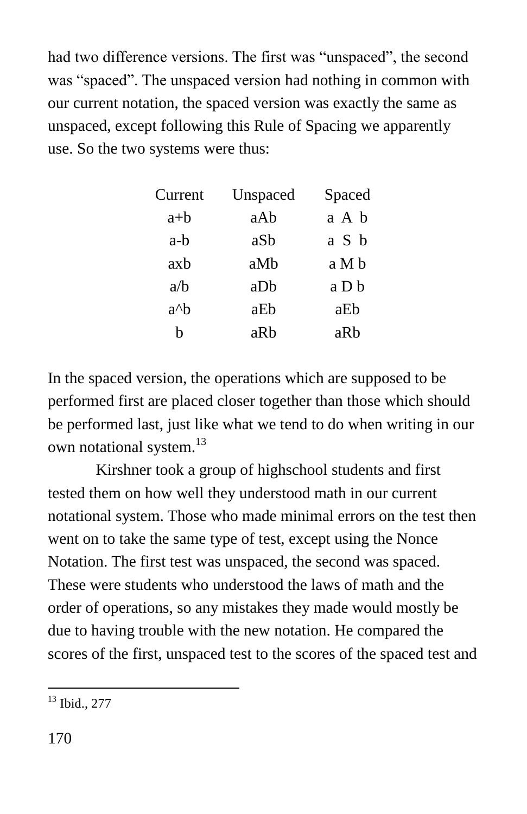had two difference versions. The first was "unspaced", the second was "spaced". The unspaced version had nothing in common with our current notation, the spaced version was exactly the same as unspaced, except following this Rule of Spacing we apparently use. So the two systems were thus:

| Current       | Unspaced | Spaced |
|---------------|----------|--------|
| a+b           | aAb      | a A b  |
| a-b           | aSb      | a S b  |
| axb           | aMb      | a M b  |
| a/b           | aDb      | a D b  |
| $a^{\wedge}b$ | aEb      | aEb    |
| h             | aRh      | aRh    |

In the spaced version, the operations which are supposed to be performed first are placed closer together than those which should be performed last, just like what we tend to do when writing in our own notational system.<sup>13</sup>

Kirshner took a group of highschool students and first tested them on how well they understood math in our current notational system. Those who made minimal errors on the test then went on to take the same type of test, except using the Nonce Notation. The first test was unspaced, the second was spaced. These were students who understood the laws of math and the order of operations, so any mistakes they made would mostly be due to having trouble with the new notation. He compared the scores of the first, unspaced test to the scores of the spaced test and

 $\overline{a}$  $13$  Ibid., 277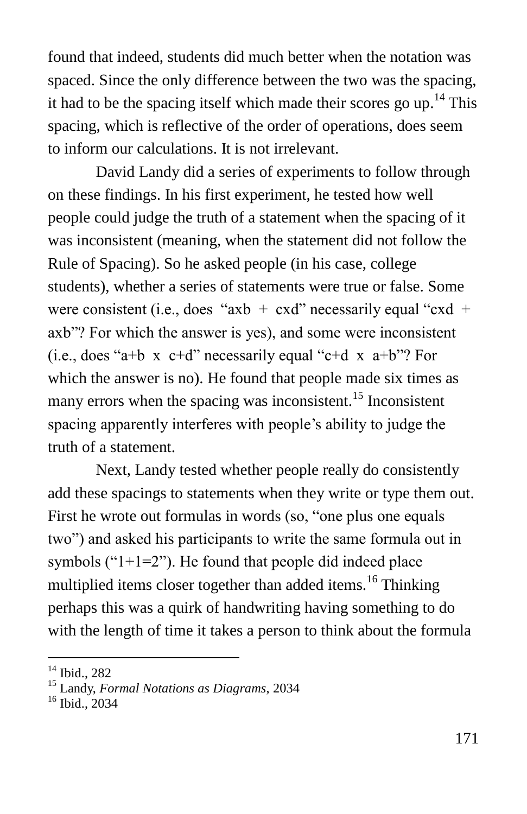found that indeed, students did much better when the notation was spaced. Since the only difference between the two was the spacing, it had to be the spacing itself which made their scores go  $up^{14}$  This spacing, which is reflective of the order of operations, does seem to inform our calculations. It is not irrelevant.

David Landy did a series of experiments to follow through on these findings. In his first experiment, he tested how well people could judge the truth of a statement when the spacing of it was inconsistent (meaning, when the statement did not follow the Rule of Spacing). So he asked people (in his case, college students), whether a series of statements were true or false. Some were consistent (i.e., does "axb + cxd" necessarily equal "cxd + axb"? For which the answer is yes), and some were inconsistent (i.e., does "a+b  $x$  c+d" necessarily equal "c+d  $x$  a+b"? For which the answer is no). He found that people made six times as many errors when the spacing was inconsistent.<sup>15</sup> Inconsistent spacing apparently interferes with people's ability to judge the truth of a statement.

Next, Landy tested whether people really do consistently add these spacings to statements when they write or type them out. First he wrote out formulas in words (so, "one plus one equals two") and asked his participants to write the same formula out in symbols (" $1+1=2$ "). He found that people did indeed place multiplied items closer together than added items.<sup>16</sup> Thinking perhaps this was a quirk of handwriting having something to do with the length of time it takes a person to think about the formula

<sup>&</sup>lt;sup>14</sup> Ibid., 282

<sup>15</sup> Landy, *Formal Notations as Diagrams*, 2034

<sup>&</sup>lt;sup>16</sup> Ibid., 2034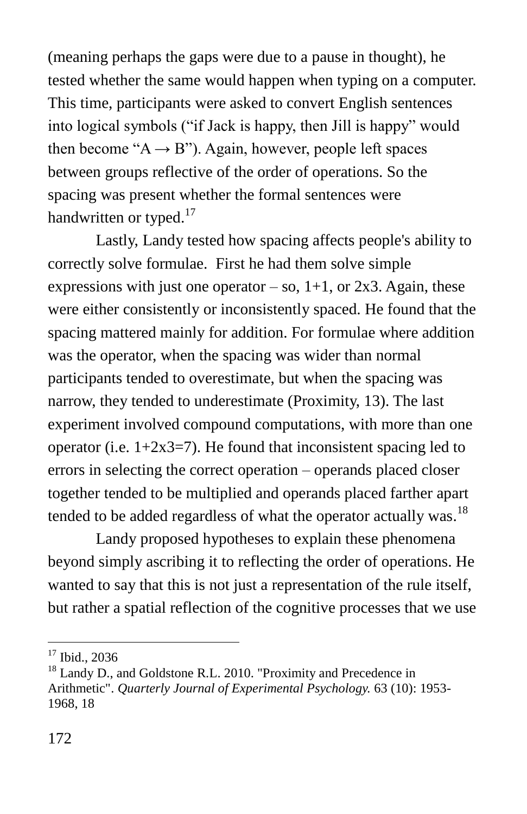(meaning perhaps the gaps were due to a pause in thought), he tested whether the same would happen when typing on a computer. This time, participants were asked to convert English sentences into logical symbols ("if Jack is happy, then Jill is happy" would then become " $A \rightarrow B$ "). Again, however, people left spaces between groups reflective of the order of operations. So the spacing was present whether the formal sentences were handwritten or typed.<sup>17</sup>

Lastly, Landy tested how spacing affects people's ability to correctly solve formulae. First he had them solve simple expressions with just one operator – so,  $1+1$ , or  $2x3$ . Again, these were either consistently or inconsistently spaced. He found that the spacing mattered mainly for addition. For formulae where addition was the operator, when the spacing was wider than normal participants tended to overestimate, but when the spacing was narrow, they tended to underestimate (Proximity, 13). The last experiment involved compound computations, with more than one operator (i.e.  $1+2x3=7$ ). He found that inconsistent spacing led to errors in selecting the correct operation – operands placed closer together tended to be multiplied and operands placed farther apart tended to be added regardless of what the operator actually was. $^{18}$ 

Landy proposed hypotheses to explain these phenomena beyond simply ascribing it to reflecting the order of operations. He wanted to say that this is not just a representation of the rule itself, but rather a spatial reflection of the cognitive processes that we use

<sup>&</sup>lt;sup>17</sup> Ibid., 2036

<sup>&</sup>lt;sup>18</sup> Landy D., and Goldstone R.L. 2010. "Proximity and Precedence in Arithmetic". *Quarterly Journal of Experimental Psychology.* 63 (10): 1953- 1968, 18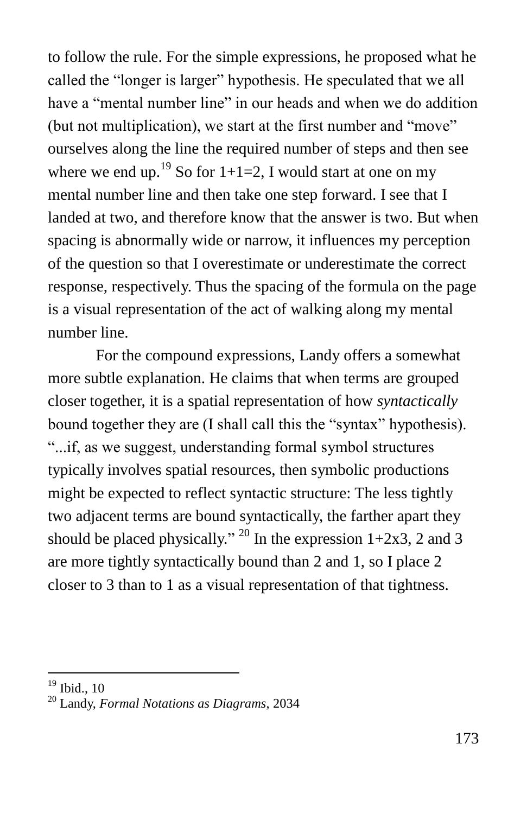to follow the rule. For the simple expressions, he proposed what he called the "longer is larger" hypothesis. He speculated that we all have a "mental number line" in our heads and when we do addition (but not multiplication), we start at the first number and "move" ourselves along the line the required number of steps and then see where we end up.<sup>19</sup> So for  $1+1=2$ , I would start at one on my mental number line and then take one step forward. I see that I landed at two, and therefore know that the answer is two. But when spacing is abnormally wide or narrow, it influences my perception of the question so that I overestimate or underestimate the correct response, respectively. Thus the spacing of the formula on the page is a visual representation of the act of walking along my mental number line.

For the compound expressions, Landy offers a somewhat more subtle explanation. He claims that when terms are grouped closer together, it is a spatial representation of how *syntactically* bound together they are (I shall call this the "syntax" hypothesis). ―...if, as we suggest, understanding formal symbol structures typically involves spatial resources, then symbolic productions might be expected to reflect syntactic structure: The less tightly two adjacent terms are bound syntactically, the farther apart they should be placed physically." <sup>20</sup> In the expression  $1+2x3$ , 2 and 3 are more tightly syntactically bound than 2 and 1, so I place 2 closer to 3 than to 1 as a visual representation of that tightness.

 $19$  Ibid.,  $10$ 

<sup>20</sup> Landy, *Formal Notations as Diagrams*, 2034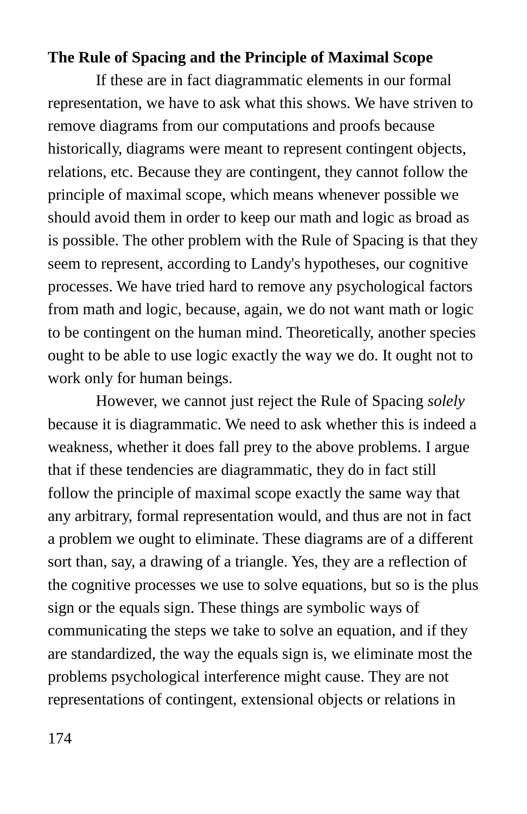#### **The Rule of Spacing and the Principle of Maximal Scope**

If these are in fact diagrammatic elements in our formal representation, we have to ask what this shows. We have striven to remove diagrams from our computations and proofs because historically, diagrams were meant to represent contingent objects, relations, etc. Because they are contingent, they cannot follow the principle of maximal scope, which means whenever possible we should avoid them in order to keep our math and logic as broad as is possible. The other problem with the Rule of Spacing is that they seem to represent, according to Landy's hypotheses, our cognitive processes. We have tried hard to remove any psychological factors from math and logic, because, again, we do not want math or logic to be contingent on the human mind. Theoretically, another species ought to be able to use logic exactly the way we do. It ought not to work only for human beings.

However, we cannot just reject the Rule of Spacing *solely* because it is diagrammatic. We need to ask whether this is indeed a weakness, whether it does fall prey to the above problems. I argue that if these tendencies are diagrammatic, they do in fact still follow the principle of maximal scope exactly the same way that any arbitrary, formal representation would, and thus are not in fact a problem we ought to eliminate. These diagrams are of a different sort than, say, a drawing of a triangle. Yes, they are a reflection of the cognitive processes we use to solve equations, but so is the plus sign or the equals sign. These things are symbolic ways of communicating the steps we take to solve an equation, and if they are standardized, the way the equals sign is, we eliminate most the problems psychological interference might cause. They are not representations of contingent, extensional objects or relations in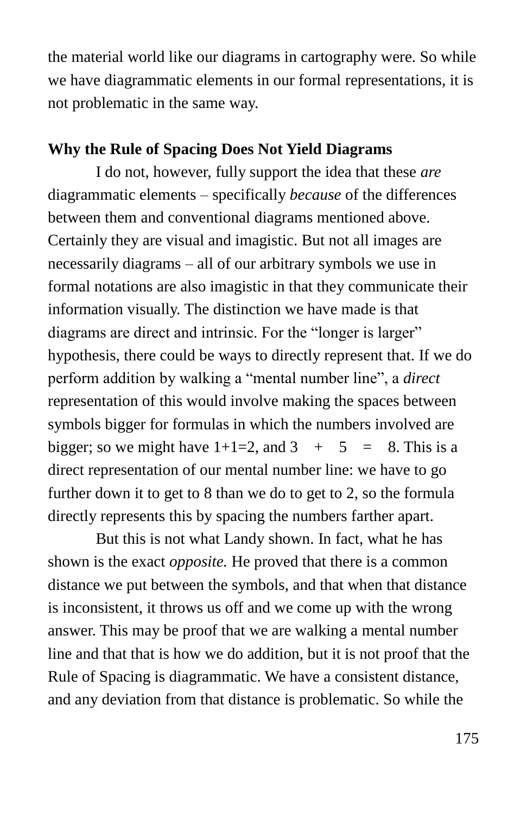the material world like our diagrams in cartography were. So while we have diagrammatic elements in our formal representations, it is not problematic in the same way.

#### **Why the Rule of Spacing Does Not Yield Diagrams**

I do not, however, fully support the idea that these *are* diagrammatic elements – specifically *because* of the differences between them and conventional diagrams mentioned above. Certainly they are visual and imagistic. But not all images are necessarily diagrams – all of our arbitrary symbols we use in formal notations are also imagistic in that they communicate their information visually. The distinction we have made is that diagrams are direct and intrinsic. For the "longer is larger" hypothesis, there could be ways to directly represent that. If we do perform addition by walking a "mental number line", a *direct* representation of this would involve making the spaces between symbols bigger for formulas in which the numbers involved are bigger; so we might have  $1+1=2$ , and  $3+5=8$ . This is a direct representation of our mental number line: we have to go further down it to get to 8 than we do to get to 2, so the formula directly represents this by spacing the numbers farther apart.

But this is not what Landy shown. In fact, what he has shown is the exact *opposite.* He proved that there is a common distance we put between the symbols, and that when that distance is inconsistent, it throws us off and we come up with the wrong answer. This may be proof that we are walking a mental number line and that that is how we do addition, but it is not proof that the Rule of Spacing is diagrammatic. We have a consistent distance, and any deviation from that distance is problematic. So while the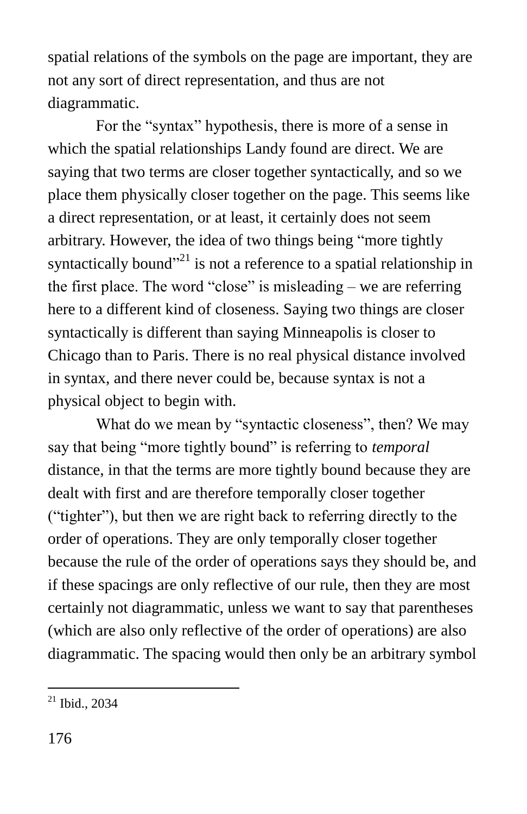spatial relations of the symbols on the page are important, they are not any sort of direct representation, and thus are not diagrammatic.

For the "syntax" hypothesis, there is more of a sense in which the spatial relationships Landy found are direct. We are saying that two terms are closer together syntactically, and so we place them physically closer together on the page. This seems like a direct representation, or at least, it certainly does not seem arbitrary. However, the idea of two things being "more tightly syntactically bound<sup> $21$ </sup> is not a reference to a spatial relationship in the first place. The word "close" is misleading – we are referring here to a different kind of closeness. Saying two things are closer syntactically is different than saying Minneapolis is closer to Chicago than to Paris. There is no real physical distance involved in syntax, and there never could be, because syntax is not a physical object to begin with.

What do we mean by "syntactic closeness", then? We may say that being "more tightly bound" is referring to *temporal* distance, in that the terms are more tightly bound because they are dealt with first and are therefore temporally closer together ("tighter"), but then we are right back to referring directly to the order of operations. They are only temporally closer together because the rule of the order of operations says they should be, and if these spacings are only reflective of our rule, then they are most certainly not diagrammatic, unless we want to say that parentheses (which are also only reflective of the order of operations) are also diagrammatic. The spacing would then only be an arbitrary symbol

 $\overline{a}$  $21$  Ibid., 2034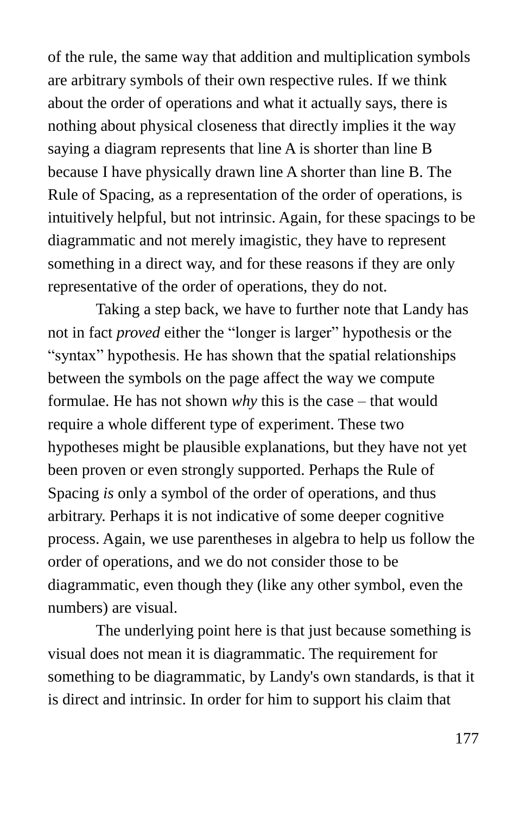of the rule, the same way that addition and multiplication symbols are arbitrary symbols of their own respective rules. If we think about the order of operations and what it actually says, there is nothing about physical closeness that directly implies it the way saying a diagram represents that line A is shorter than line B because I have physically drawn line A shorter than line B. The Rule of Spacing, as a representation of the order of operations, is intuitively helpful, but not intrinsic. Again, for these spacings to be diagrammatic and not merely imagistic, they have to represent something in a direct way, and for these reasons if they are only representative of the order of operations, they do not.

Taking a step back, we have to further note that Landy has not in fact *proved* either the "longer is larger" hypothesis or the "syntax" hypothesis. He has shown that the spatial relationships between the symbols on the page affect the way we compute formulae. He has not shown *why* this is the case – that would require a whole different type of experiment. These two hypotheses might be plausible explanations, but they have not yet been proven or even strongly supported. Perhaps the Rule of Spacing *is* only a symbol of the order of operations, and thus arbitrary. Perhaps it is not indicative of some deeper cognitive process. Again, we use parentheses in algebra to help us follow the order of operations, and we do not consider those to be diagrammatic, even though they (like any other symbol, even the numbers) are visual.

The underlying point here is that just because something is visual does not mean it is diagrammatic. The requirement for something to be diagrammatic, by Landy's own standards, is that it is direct and intrinsic. In order for him to support his claim that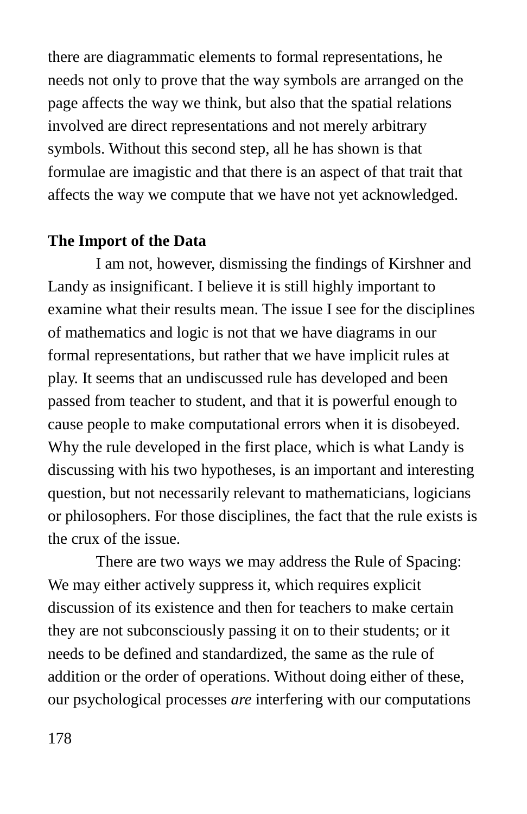there are diagrammatic elements to formal representations, he needs not only to prove that the way symbols are arranged on the page affects the way we think, but also that the spatial relations involved are direct representations and not merely arbitrary symbols. Without this second step, all he has shown is that formulae are imagistic and that there is an aspect of that trait that affects the way we compute that we have not yet acknowledged.

#### **The Import of the Data**

I am not, however, dismissing the findings of Kirshner and Landy as insignificant. I believe it is still highly important to examine what their results mean. The issue I see for the disciplines of mathematics and logic is not that we have diagrams in our formal representations, but rather that we have implicit rules at play. It seems that an undiscussed rule has developed and been passed from teacher to student, and that it is powerful enough to cause people to make computational errors when it is disobeyed. Why the rule developed in the first place, which is what Landy is discussing with his two hypotheses, is an important and interesting question, but not necessarily relevant to mathematicians, logicians or philosophers. For those disciplines, the fact that the rule exists is the crux of the issue.

There are two ways we may address the Rule of Spacing: We may either actively suppress it, which requires explicit discussion of its existence and then for teachers to make certain they are not subconsciously passing it on to their students; or it needs to be defined and standardized, the same as the rule of addition or the order of operations. Without doing either of these, our psychological processes *are* interfering with our computations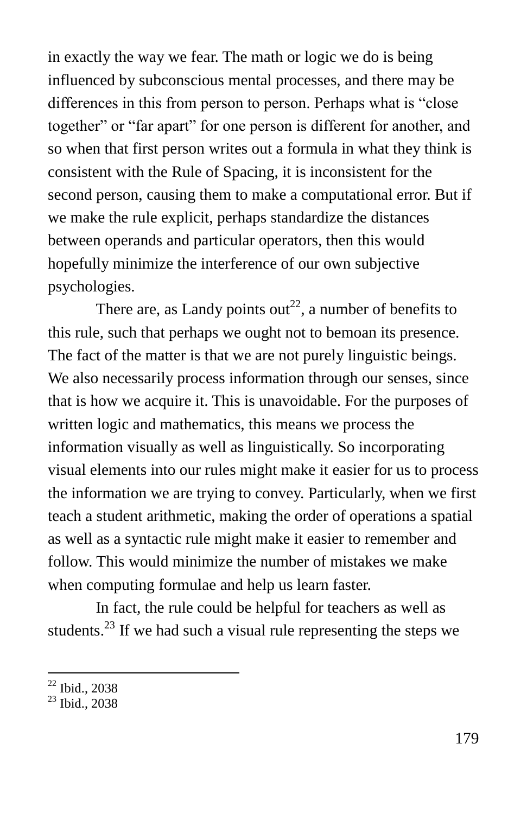in exactly the way we fear. The math or logic we do is being influenced by subconscious mental processes, and there may be differences in this from person to person. Perhaps what is "close" together" or "far apart" for one person is different for another, and so when that first person writes out a formula in what they think is consistent with the Rule of Spacing, it is inconsistent for the second person, causing them to make a computational error. But if we make the rule explicit, perhaps standardize the distances between operands and particular operators, then this would hopefully minimize the interference of our own subjective psychologies.

There are, as Landy points out<sup>22</sup>, a number of benefits to this rule, such that perhaps we ought not to bemoan its presence. The fact of the matter is that we are not purely linguistic beings. We also necessarily process information through our senses, since that is how we acquire it. This is unavoidable. For the purposes of written logic and mathematics, this means we process the information visually as well as linguistically. So incorporating visual elements into our rules might make it easier for us to process the information we are trying to convey. Particularly, when we first teach a student arithmetic, making the order of operations a spatial as well as a syntactic rule might make it easier to remember and follow. This would minimize the number of mistakes we make when computing formulae and help us learn faster.

In fact, the rule could be helpful for teachers as well as students.<sup>23</sup> If we had such a visual rule representing the steps we

 $\overline{a}$ <sup>22</sup> Ibid., 2038

<sup>&</sup>lt;sup>23</sup> Ibid., 2038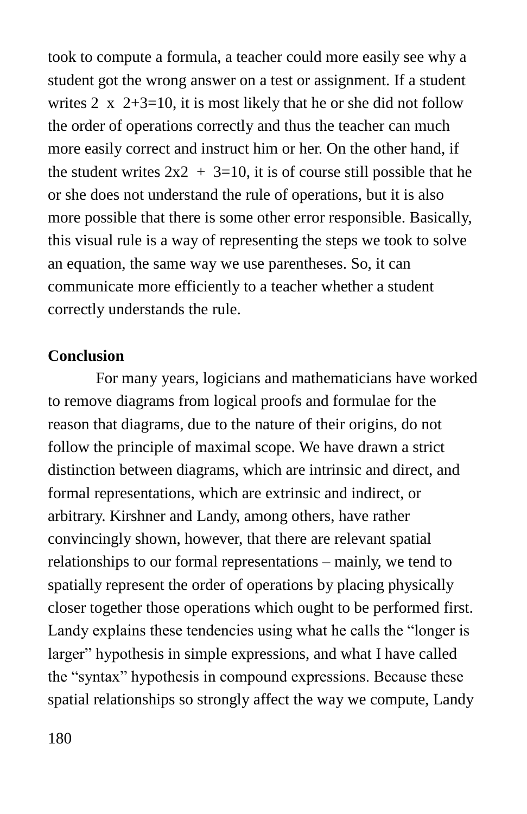took to compute a formula, a teacher could more easily see why a student got the wrong answer on a test or assignment. If a student writes 2  $\times$  2+3=10, it is most likely that he or she did not follow the order of operations correctly and thus the teacher can much more easily correct and instruct him or her. On the other hand, if the student writes  $2x^2 + 3=10$ , it is of course still possible that he or she does not understand the rule of operations, but it is also more possible that there is some other error responsible. Basically, this visual rule is a way of representing the steps we took to solve an equation, the same way we use parentheses. So, it can communicate more efficiently to a teacher whether a student correctly understands the rule.

#### **Conclusion**

For many years, logicians and mathematicians have worked to remove diagrams from logical proofs and formulae for the reason that diagrams, due to the nature of their origins, do not follow the principle of maximal scope. We have drawn a strict distinction between diagrams, which are intrinsic and direct, and formal representations, which are extrinsic and indirect, or arbitrary. Kirshner and Landy, among others, have rather convincingly shown, however, that there are relevant spatial relationships to our formal representations – mainly, we tend to spatially represent the order of operations by placing physically closer together those operations which ought to be performed first. Landy explains these tendencies using what he calls the "longer is" larger" hypothesis in simple expressions, and what I have called the "syntax" hypothesis in compound expressions. Because these spatial relationships so strongly affect the way we compute, Landy